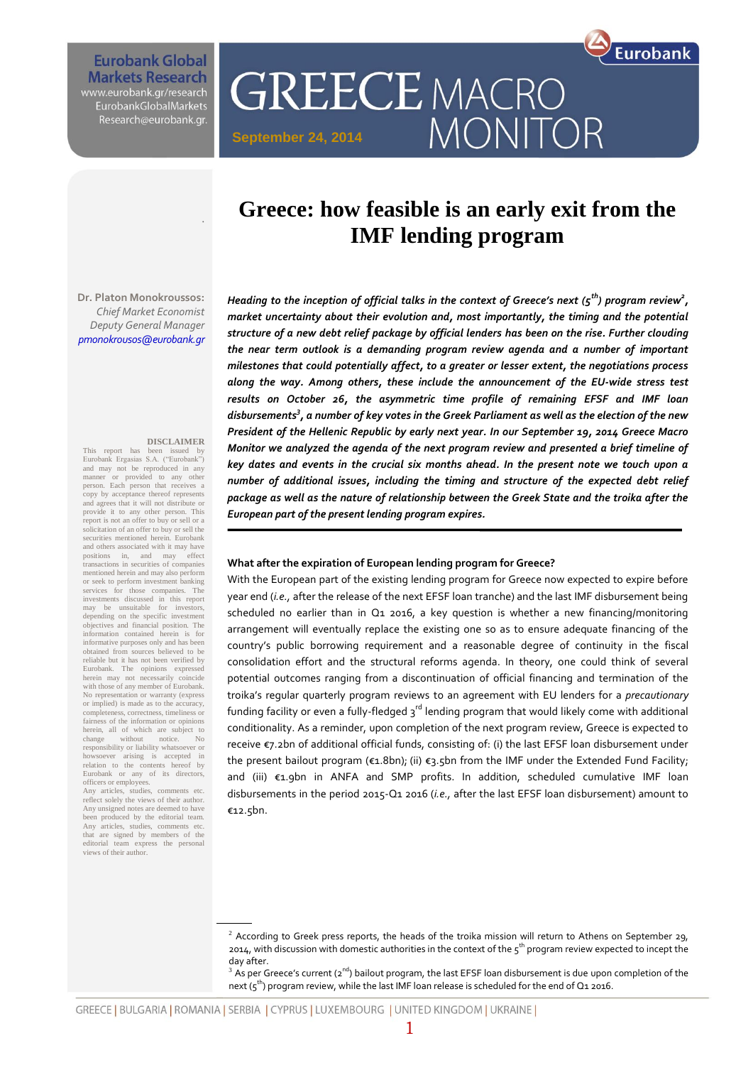**Eurobank Global Markets Research** www.eurobank.gr/research<br>EurobankGlobalMarkets

Research@eurobank.gr.

**September 24, 2014**

# **Greece: how feasible is an early exit from the IMF lending program**

MONITOR

**GREECE MACRO** 

Eurobank

**Dr. Platon Monokroussos:**  *Chief Market Economist Deputy General Manager pmonokrousos@eurobank.gr*

#### **DISCLAIMER**

.

This report has been issued by Eurobank Ergasias S.A. ("Eurobank") and may not be reproduced in any manner or provided to any other person. Each person that receives a copy by acceptance thereof represents and agrees that it will not distribute or provide it to any other person. This report is not an offer to buy or sell or a solicitation of an offer to buy or sell the securities mentioned herein. Eurobank and others associated with it may have positions in, and may effect transactions in securities of companies mentioned herein and may also perform or seek to perform investment banking services for those companies. The investments discussed in this report may be unsuitable for investors, depending on the specific investment objectives and financial position. The information contained herein is for informative purposes only and has been obtained from sources believed to be reliable but it has not been verified by Eurobank. The opinions expressed herein may not necessarily coincide with those of any member of Eurobank. No representation or warranty (express or implied) is made as to the accuracy, ss, correctness, timeliness or fairness of the information or opinions herein, all of which are subject to change without notice. No change without notice. No responsibility or liability whatsoever or howsoever arising is accepted in relation to the contents hereof by Eurobank or any of its directors, officers or employees.

Any articles, studies, comments etc. reflect solely the views of their author. Any unsigned notes are deemed to have been produced by the editorial team. Any articles, studies, comments etc. that are signed by members of the editorial team express the personal views of their author.

*Heading to the inception of official talks in the context of Greece's next (5th) program review<sup>2</sup> , market uncertainty about their evolution and, most importantly, the timing and the potential structure of a new debt relief package by official lenders has been on the rise. Further clouding the near term outlook is a demanding program review agenda and a number of important milestones that could potentially affect, to a greater or lesser extent, the negotiations process along the way. Among others, these include the announcement of the EU-wide stress test results on October 26, the asymmetric time profile of remaining EFSF and IMF loan disbursements<sup>3</sup> , a number of key votes in the Greek Parliament as well as the election of the new President of the Hellenic Republic by early next year. In our September 19, 2014 Greece Macro Monitor we analyzed the agenda of the next program review and presented a brief timeline of key dates and events in the crucial six months ahead. In the present note we touch upon a number of additional issues, including the timing and structure of the expected debt relief package as well as the nature of relationship between the Greek State and the troika after the European part of the present lending program expires.* 

#### **What after the expiration of European lending program for Greece?**

With the European part of the existing lending program for Greece now expected to expire before year end (*i.e.,* after the release of the next EFSF loan tranche) and the last IMF disbursement being scheduled no earlier than in  $Q_1$  2016, a key question is whether a new financing/monitoring arrangement will eventually replace the existing one so as to ensure adequate financing of the country's public borrowing requirement and a reasonable degree of continuity in the fiscal consolidation effort and the structural reforms agenda. In theory, one could think of several potential outcomes ranging from a discontinuation of official financing and termination of the troika's regular quarterly program reviews to an agreement with EU lenders for a *precautionary*  funding facility or even a fully-fledged  $3<sup>rd</sup>$  lending program that would likely come with additional conditionality. As a reminder, upon completion of the next program review, Greece is expected to receive €7.2bn of additional official funds, consisting of: (i) the last EFSF loan disbursement under the present bailout program (€1.8bn); (ii) €3.5bn from the IMF under the Extended Fund Facility; and (iii) €1.9bn in ANFA and SMP profits. In addition, scheduled cumulative IMF loan disbursements in the period 2015-Q1 2016 (*i.e.,* after the last EFSF loan disbursement) amount to €12.5bn.

GREECE | BULGARIA | ROMANIA | SERBIA | CYPRUS | LUXEMBOURG | UNITED KINGDOM | UKRAINE |

 $2$  According to Greek press reports, the heads of the troika mission will return to Athens on September 29, 2014, with discussion with domestic authorities in the context of the 5<sup>th</sup> program review expected to incept the day after.

 $^3$  As per Greece's current (2<sup>nd</sup>) bailout program, the last EFSF loan disbursement is due upon completion of the next ( $5<sup>th</sup>$ ) program review, while the last IMF loan release is scheduled for the end of Q1 2016.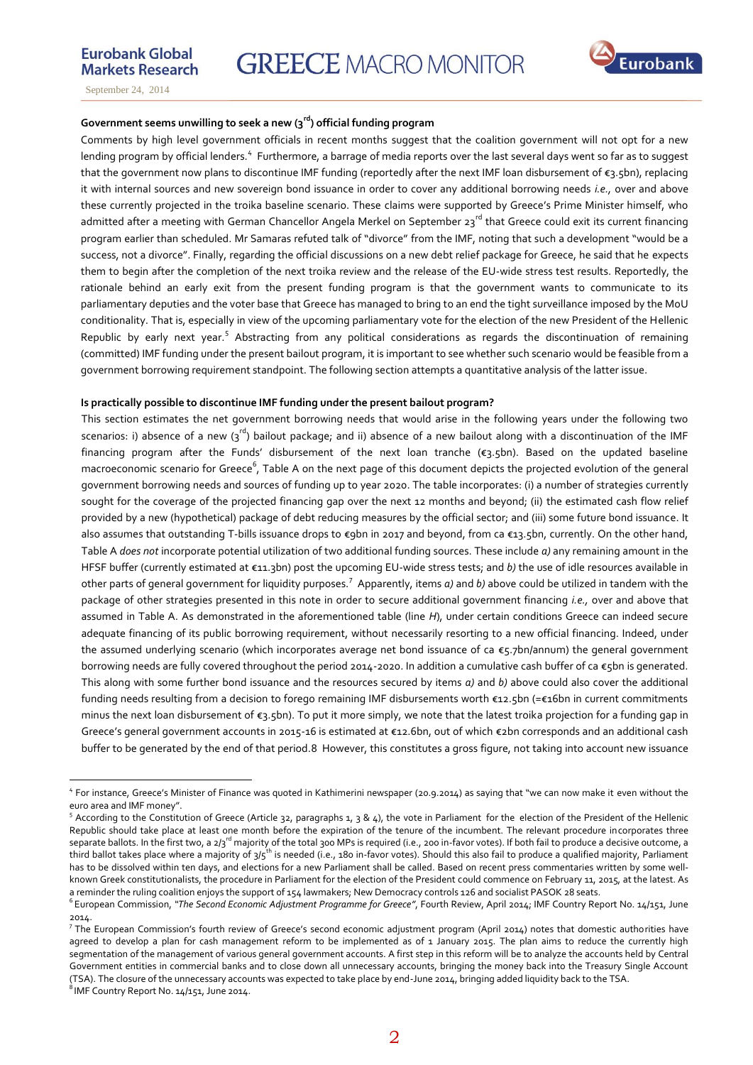

### **Government seems unwilling to seek a new (3rd) official funding program**

Comments by high level government officials in recent months suggest that the coalition government will not opt for a new lending program by official lenders.<sup>4</sup> Furthermore, a barrage of media reports over the last several days went so far as to suggest that the government now plans to discontinue IMF funding (reportedly after the next IMF loan disbursement of €3.5bn), replacing it with internal sources and new sovereign bond issuance in order to cover any additional borrowing needs *i.e.,* over and above these currently projected in the troika baseline scenario. These claims were supported by Greece's Prime Minister himself, who admitted after a meeting with German Chancellor Angela Merkel on September 23<sup>rd</sup> that Greece could exit its current financing program earlier than scheduled. Mr Samaras refuted talk of "divorce" from the IMF, noting that such a development "would be a success, not a divorce". Finally, regarding the official discussions on a new debt relief package for Greece, he said that he expects them to begin after the completion of the next troika review and the release of the EU-wide stress test results. Reportedly, the rationale behind an early exit from the present funding program is that the government wants to communicate to its parliamentary deputies and the voter base that Greece has managed to bring to an end the tight surveillance imposed by the MoU conditionality. That is, especially in view of the upcoming parliamentary vote for the election of the new President of the Hellenic Republic by early next year.<sup>5</sup> Abstracting from any political considerations as regards the discontinuation of remaining (committed) IMF funding under the present bailout program, it is important to see whether such scenario would be feasible from a government borrowing requirement standpoint. The following section attempts a quantitative analysis of the latter issue.

#### **Is practically possible to discontinue IMF funding under the present bailout program?**

This section estimates the net government borrowing needs that would arise in the following years under the following two scenarios: i) absence of a new  $(3^{rd})$  bailout package; and ii) absence of a new bailout along with a discontinuation of the IMF financing program after the Funds' disbursement of the next loan tranche (€3.5bn). Based on the updated baseline macroeconomic scenario for Greece<sup>6</sup>, Table A on the next page of this document depicts the projected evol*u*tion of the general government borrowing needs and sources of funding up to year 2020. The table incorporates: (i) a number of strategies currently sought for the coverage of the projected financing gap over the next 12 months and beyond; (ii) the estimated cash flow relief provided by a new (hypothetical) package of debt reducing measures by the official sector; and (iii) some future bond issuance. It also assumes that outstanding T-bills issuance drops to €9bn in 2017 and beyond, from ca €13.5bn, currently. On the other hand, Table A *does not* incorporate potential utilization of two additional funding sources. These include *a)* any remaining amount in the HFSF buffer (currently estimated at €11.3bn) post the upcoming EU-wide stress tests; and *b)* the use of idle resources available in other parts of general government for liquidity purposes.<sup>7</sup> Apparently, items *a*) and *b*) above could be utilized in tandem with the package of other strategies presented in this note in order to secure additional government financing *i.e.,* over and above that assumed in Table A. As demonstrated in the aforementioned table (line *H*), under certain conditions Greece can indeed secure adequate financing of its public borrowing requirement, without necessarily resorting to a new official financing. Indeed, under the assumed underlying scenario (which incorporates average net bond issuance of ca €5.7bn/annum) the general government borrowing needs are fully covered throughout the period 2014-2020. In addition a cumulative cash buffer of ca  $\epsilon$ 5bn is generated. This along with some further bond issuance and the resources secured by items *a)* and *b)* above could also cover the additional funding needs resulting from a decision to forego remaining IMF disbursements worth €12.5bn (=€16bn in current commitments minus the next loan disbursement of  $\varepsilon_3$ .5bn). To put it more simply, we note that the latest troika projection for a funding gap in Greece's general government accounts in 2015-16 is estimated at €12.6bn, out of which €2bn corresponds and an additional cash buffer to be generated by the end of that period.8 However, this constitutes a gross figure, not taking into account new issuance

 $^8$ IMF Country Report No. 14/151, June 2014.

 $\overline{a}$ 

<sup>4</sup> For instance, Greece's Minister of Finance was quoted in Kathimerini newspaper (20.9.2014) as saying that "we can now make it even without the euro area and IMF money".

<sup>&</sup>lt;sup>5</sup> According to the Constitution of Greece (Article 32, paragraphs 1, 3 & 4), the vote in Parliament for the election of the President of the Hellenic Republic should take place at least one month before the expiration of the tenure of the incumbent. The relevant procedure incorporates three separate ballots. In the first two, a 2/3<sup>rd</sup> majority of the total 300 MPs is required (i.e., 200 in-favor votes). If both fail to produce a decisive outcome, a third ballot takes place where a majority of  $3/5$ <sup>th</sup> is needed (i.e., 180 in-favor votes). Should this also fail to produce a qualified majority, Parliament has to be dissolved within ten days, and elections for a new Parliament shall be called. Based on recent press commentaries written by some wellknown Greek constitutionalists, the procedure in Parliament for the election of the President could commence on February 11, 2015, at the latest. As a reminder the ruling coalition enjoys the support of 154 lawmakers; New Democracy controls 126 and socialist PASOK 28 seats.

<sup>6</sup> European Commission, *"The Second Economic Adjustment Programme for Greece"*, Fourth Review, April 2014; IMF Country Report No. 14/151, June 2014.

<sup>7</sup> The European Commission's fourth review of Greece's second economic adjustment program (April 2014) notes that domestic authorities have agreed to develop a plan for cash management reform to be implemented as of 1 January 2015. The plan aims to reduce the currently high segmentation of the management of various general government accounts. A first step in this reform will be to analyze the accounts held by Central Government entities in commercial banks and to close down all unnecessary accounts, bringing the money back into the Treasury Single Account (TSA). The closure of the unnecessary accounts was expected to take place by end-June 2014, bringing added liquidity back to the TSA.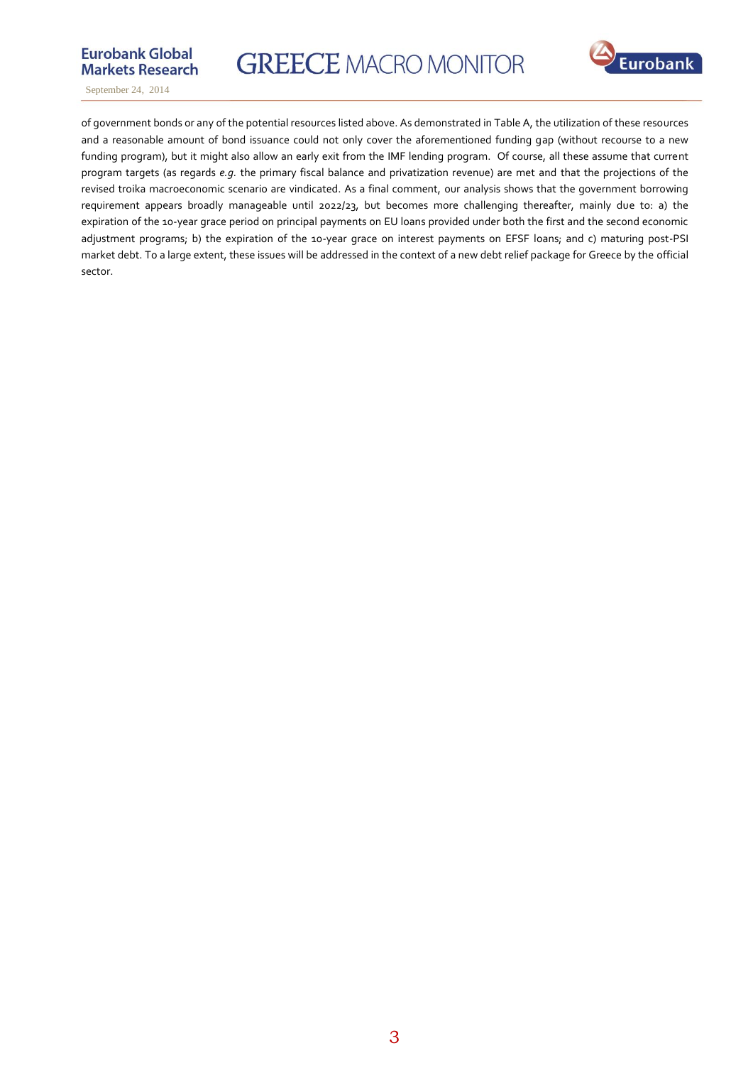

**GREECE MACRO MONITOR** 



September 24, 2014

of government bonds or any of the potential resources listed above. As demonstrated in Table A, the utilization of these resources and a reasonable amount of bond issuance could not only cover the aforementioned funding gap (without recourse to a new funding program), but it might also allow an early exit from the IMF lending program. Of course, all these assume that current program targets (as regards *e.g.* the primary fiscal balance and privatization revenue) are met and that the projections of the revised troika macroeconomic scenario are vindicated. As a final comment, our analysis shows that the government borrowing requirement appears broadly manageable until 2022/23, but becomes more challenging thereafter, mainly due to: a) the expiration of the 10-year grace period on principal payments on EU loans provided under both the first and the second economic adjustment programs; b) the expiration of the 10-year grace on interest payments on EFSF loans; and c) maturing post-PSI market debt. To a large extent, these issues will be addressed in the context of a new debt relief package for Greece by the official sector.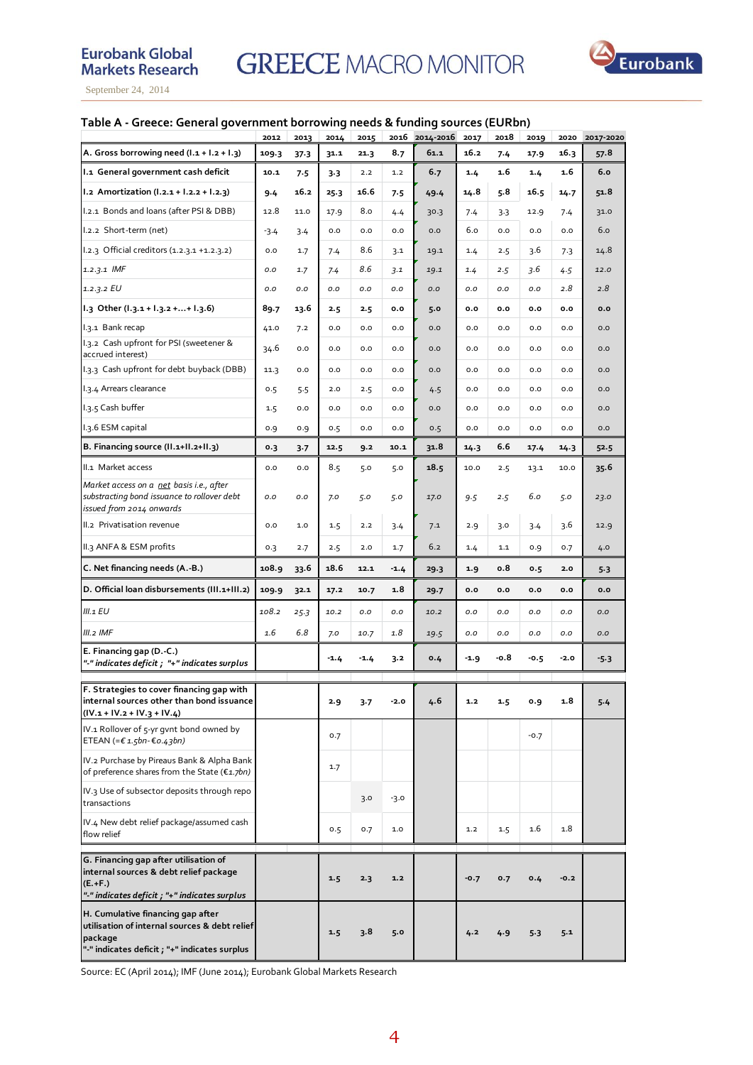

## **Table A - Greece: General government borrowing needs & funding sources (EURbn)**

|                                                                                                                                                | 2012   | 2013 | 2014   | 2015   | 2016   | 2014-2016 | 2017   | 2018 | 2019     | 2020   | 2017-2020 |
|------------------------------------------------------------------------------------------------------------------------------------------------|--------|------|--------|--------|--------|-----------|--------|------|----------|--------|-----------|
| A. Gross borrowing need $(l.1 + l.2 + l.3)$                                                                                                    | 109.3  | 37.3 | 31.1   | 21.3   | 8.7    | 61.1      | 16.2   | 7.4  | 17.9     | 16.3   | 57.8      |
| I.1 General government cash deficit                                                                                                            | 10.1   | 7.5  | $3-3$  | 2.2    | $1.2$  | 6.7       | 1.4    | 1.6  | 1.4      | 1.6    | 6.0       |
| I.2 Amortization (I.2.1 + I.2.2 + I.2.3)                                                                                                       | 9.4    | 16.2 | 25.3   | 16.6   | 7.5    | 49.4      | 14.8   | 5.8  | 16.5     | 14.7   | 51.8      |
| I.2.1 Bonds and loans (after PSI & DBB)                                                                                                        | 12.8   | 11.0 | 17.9   | 8.0    | 4.4    | 30.3      | 7.4    | 3.3  | 12.9     | 7.4    | 31.0      |
| I.2.2 Short-term (net)                                                                                                                         | $-3.4$ | 3.4  | 0.0    | 0.0    | 0.0    | 0.0       | 6.0    | 0.0  | $_{0.0}$ | 0.0    | 6.0       |
| 1.2.3 Official creditors (1.2.3.1 +1.2.3.2)                                                                                                    | 0.0    | 1.7  | 7.4    | 8.6    | 3.1    | 19.1      | 1.4    | 2.5  | 3.6      | 7.3    | 14.8      |
| $1.2.3.1$ IMF                                                                                                                                  | 0.0    | 1.7  | 7.4    | 8.6    | 3.1    | 19.1      | 1.4    | 2.5  | 3.6      | 4.5    | 12.0      |
| 1.2.3.2 EU                                                                                                                                     | 0.0    | 0.0  | 0.0    | O.O    | O.O    | O.O       | 0.0    | 0.0  | O.O      | 2.8    | 2.8       |
| 1.3 Other (1.3.1 + 1.3.2 ++ 1.3.6)                                                                                                             | 89.7   | 13.6 | 2.5    | 2.5    | 0.0    | 5.0       | 0.0    | 0.0  | 0.0      | 0.0    | 0.0       |
| I.3.1 Bank recap                                                                                                                               | 41.0   | 7.2  | 0.0    | 0.0    | 0.0    | 0.0       | 0.0    | 0.0  | 0.0      | 0.0    | 0.0       |
| I.3.2 Cash upfront for PSI (sweetener &<br>accrued interest)                                                                                   | 34.6   | 0.0  | 0.0    | 0.0    | 0.0    | 0.0       | 0.0    | 0.0  | 0.0      | 0.0    | 0.0       |
| I.3.3 Cash upfront for debt buyback (DBB)                                                                                                      | 11.3   | 0.0  | 0.0    | 0.0    | 0.0    | 0.0       | 0.0    | 0.0  | 0.0      | 0.0    | 0.0       |
| I.3.4 Arrears clearance                                                                                                                        | 0.5    | 5.5  | 2.0    | 2.5    | 0.0    | 4.5       | 0.0    | 0.0  | 0.0      | 0.0    | 0.0       |
| 1.3.5 Cash buffer                                                                                                                              | 1.5    | 0.0  | 0.0    | 0.0    | 0.0    | 0.0       | 0.0    | 0.0  | 0.0      | 0.0    | 0.0       |
| I.3.6 ESM capital                                                                                                                              | 0.9    | 0.9  | 0.5    | 0.0    | 0.0    | 0.5       | 0.0    | 0.0  | 0.0      | 0.0    | 0.0       |
| B. Financing source (II.1+II.2+II.3)                                                                                                           | 0.3    | 3.7  | 12.5   | 9.2    | 10.1   | 31.8      | 14.3   | 6.6  | 17.4     | 14.3   | 52.5      |
| II.1 Market access                                                                                                                             | 0.0    | 0.0  | 8.5    | 5.0    | 5.0    | 18.5      | 10.0   | 2.5  | 13.1     | 10.0   | 35.6      |
| Market access on a net basis i.e., after<br>substracting bond issuance to rollover debt<br>issued from 2014 onwards                            | 0.0    | 0.0  | 7.0    | 5.0    | 5.0    | 17.0      | 9.5    | 2.5  | 6.0      | 5.0    | 23.0      |
| II.2 Privatisation revenue                                                                                                                     | 0.0    | 1.0  | 1.5    | 2.2    | 3.4    | 7.1       | 2.9    | 3.0  | 3.4      | 3.6    | 12.9      |
| II.3 ANFA & ESM profits                                                                                                                        | 0.3    | 2.7  | 2.5    | 2.0    | 1.7    | 6.2       | 1.4    | 1.1  | 0.9      | 0.7    | 4.0       |
| C. Net financing needs (A.-B.)                                                                                                                 | 108.9  | 33.6 | 18.6   | 12.1   | $-1.4$ | 29.3      | 1.9    | o.8  | 0.5      | 2.0    | 5.3       |
| D. Official loan disbursements (III.1+III.2)                                                                                                   | 109.9  | 32.1 | 17.2   | 10.7   | 1.8    | 29.7      | 0.0    | 0.0  | 0.0      | 0.0    | 0.0       |
| III.1 EU                                                                                                                                       | 108.2  | 25.3 | 10.2   | O.O    | 0.0    | 10.2      | 0.0    | 0.0  | O.O      | O.O    | O.O       |
| III.2 IMF                                                                                                                                      | 1.6    | 6.8  | 7.0    | 10.7   | 1.8    | 19.5      | 0.0    | 0.0  | O.O      | 0.0    | O.O       |
| E. Financing gap (D.-C.)<br>"-" indicates deficit ; "+" indicates surplus                                                                      |        |      | $-1.4$ | $-1.4$ | 3.2    | 0.4       | $-1.9$ | -0.8 | $-0.5$   | $-2.0$ | $-5.3$    |
| F. Strategies to cover financing gap with<br>internal sources other than bond issuance<br>$(IV.1 + IV.2 + IV.3 + IV.4)$                        |        |      | 2.9    | 3.7    | -2.0   | 4.6       | 1.2    | 1.5  | 0.9      | 1.8    | $5 - 4$   |
| IV.1 Rollover of 5-yr gvnt bond owned by<br>ETEAN (= $£ 1.5$ bn- $£ 0.43$ bn)                                                                  |        |      | 0.7    |        |        |           |        |      | $-0.7$   |        |           |
| IV.2 Purchase by Pireaus Bank & Alpha Bank<br>of preference shares from the State (€1.7bn)                                                     |        |      | 1.7    |        |        |           |        |      |          |        |           |
| IV.3 Use of subsector deposits through repo<br>transactions                                                                                    |        |      |        | 3.0    | $-3.0$ |           |        |      |          |        |           |
| IV.4 New debt relief package/assumed cash<br>flow relief                                                                                       |        |      | 0.5    | 0.7    | 1.0    |           | 1.2    | 1.5  | 1.6      | 1.8    |           |
| G. Financing gap after utilisation of<br>internal sources & debt relief package<br>$(E.+F.)$<br>"-" indicates deficit ; "+" indicates surplus  |        |      | 1.5    | 2.3    | 1.2    |           | $-0.7$ | 0.7  | 0.4      | $-0.2$ |           |
| H. Cumulative financing gap after<br>utilisation of internal sources & debt relief<br>package<br>"-" indicates deficit ; "+" indicates surplus |        |      | 1.5    | 3.8    | 5.0    |           | 4.2    | 4.9  | 5.3      | 5.1    |           |

Source: EC (April 2014); IMF (June 2014); Eurobank Global Markets Research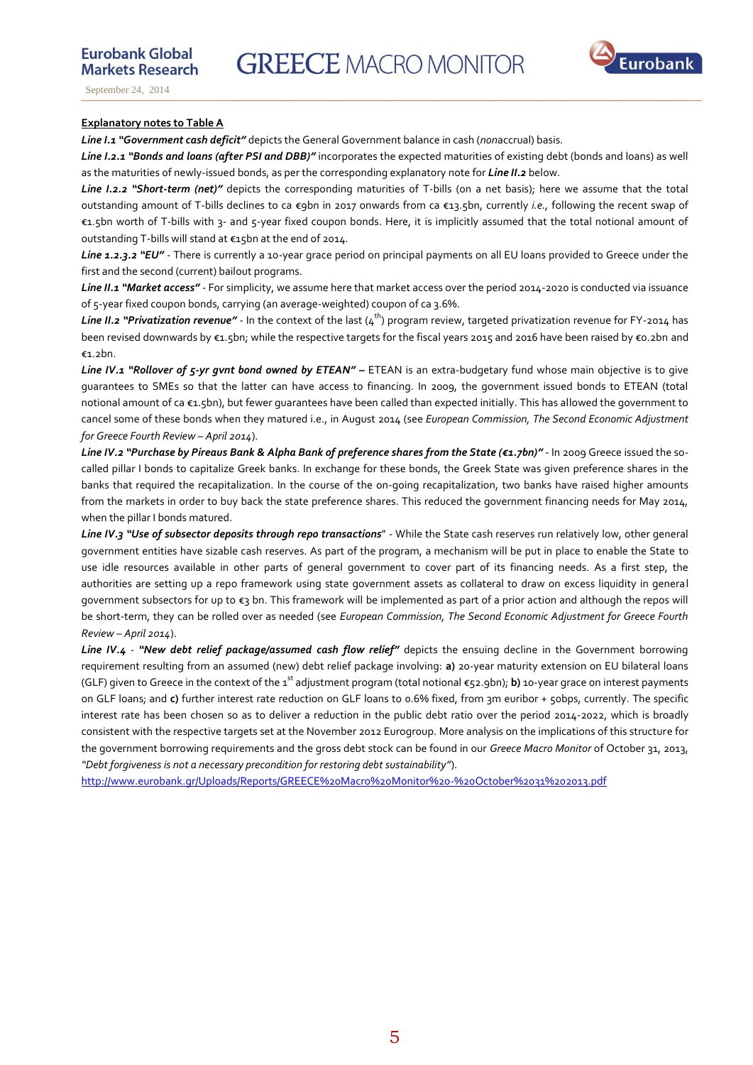

**Eurobank Global** 

**Markets Research** 

#### **Explanatory notes to Table A**

*Line I.1 "Government cash deficit"* depicts the General Government balance in cash (*non*accrual) basis.

*Line I.2.1 "Bonds and loans (after PSI and DBB)"* incorporates the expected maturities of existing debt (bonds and loans) as well as the maturities of newly-issued bonds, as per the corresponding explanatory note for *Line II.2* below.

*Line I.2.2 "Short-term (net)"* depicts the corresponding maturities of T-bills (on a net basis); here we assume that the total outstanding amount of T-bills declines to ca €9bn in 2017 onwards from ca €13.5bn, currently *i.e.,* following the recent swap of €1.5bn worth of T-bills with 3- and 5-year fixed coupon bonds. Here, it is implicitly assumed that the total notional amount of outstanding T-bills will stand at €15bn at the end of 2014.

*Line 1.2.3.2 "EU" -* There is currently a 10-year grace period on principal payments on all EU loans provided to Greece under the first and the second (current) bailout programs.

*Line II.1 "Market access" -* For simplicity, we assume here that market access over the period 2014-2020 is conducted via issuance of 5-year fixed coupon bonds, carrying (an average-weighted) coupon of ca 3.6%.

*Line II.2 "Privatization revenue"* - In the context of the last (4<sup>th</sup>) program review, targeted privatization revenue for FY-2014 has been revised downwards by €1.5bn; while the respective targets for the fiscal years 2015 and 2016 have been raised by €0.2bn and €1.2bn.

*Line IV.1 "Rollover of 5-yr gvnt bond owned by ETEAN" –* ETEAN is an extra-budgetary fund whose main objective is to give guarantees to SMEs so that the latter can have access to financing. In 2009, the government issued bonds to ETEAN (total notional amount of ca €1.5bn), but fewer guarantees have been called than expected initially. This has allowed the government to cancel some of these bonds when they matured i.e., in August 2014 (see *European Commission, The Second Economic Adjustment for Greece Fourth Review – April 2014*).

*Line IV.2 "Purchase by Pireaus Bank & Alpha Bank of preference shares from the State (€1.7bn)"* - In 2009 Greece issued the socalled pillar I bonds to capitalize Greek banks. In exchange for these bonds, the Greek State was given preference shares in the banks that required the recapitalization. In the course of the on-going recapitalization, two banks have raised higher amounts from the markets in order to buy back the state preference shares. This reduced the government financing needs for May 2014, when the pillar I bonds matured.

*Line IV.3 "Use of subsector deposits through repo transactions*" - While the State cash reserves run relatively low, other general government entities have sizable cash reserves. As part of the program, a mechanism will be put in place to enable the State to use idle resources available in other parts of general government to cover part of its financing needs. As a first step, the authorities are setting up a repo framework using state government assets as collateral to draw on excess liquidity in general government subsectors for up to €3 bn. This framework will be implemented as part of a prior action and although the repos will be short-term, they can be rolled over as needed (see *European Commission, The Second Economic Adjustment for Greece Fourth Review – April 2014*).

*Line IV.4 - "New debt relief package/assumed cash flow relief"* depicts the ensuing decline in the Government borrowing requirement resulting from an assumed (new) debt relief package involving: **a)** 20-year maturity extension on EU bilateral loans (GLF) given to Greece in the context of the 1<sup>st</sup> adjustment program (total notional €52.9bn); **b)** 10-year grace on interest payments on GLF loans; and **c)** further interest rate reduction on GLF loans to 0.6% fixed, from 3m euribor + 50bps, currently. The specific interest rate has been chosen so as to deliver a reduction in the public debt ratio over the period 2014-2022, which is broadly consistent with the respective targets set at the November 2012 Eurogroup. More analysis on the implications of this structure for the government borrowing requirements and the gross debt stock can be found in our *Greece Macro Monitor* of October 31, 2013, *"Debt forgiveness is not a necessary precondition for restoring debt sustainability"*).

<http://www.eurobank.gr/Uploads/Reports/GREECE%20Macro%20Monitor%20-%20October%2031%202013.pdf>